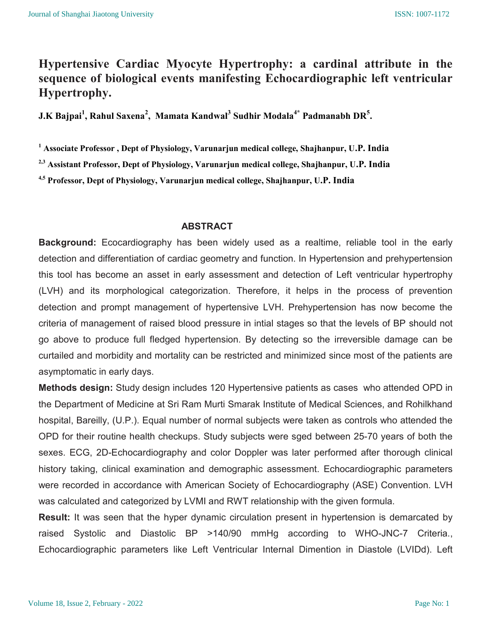# Hypertensive Cardiac Myocyte Hypertrophy: a cardinal attribute in the sequence of biological events manifesting Echocardiographic left ventricular Hypertrophy.

J.K Bajpai<sup>1</sup>, Rahul Saxena<sup>2</sup>, Mamata Kandwal<sup>3</sup> Sudhir Modala<sup>4\*</sup> Padmanabh DR<sup>5</sup>.

<sup>1</sup> Associate Professor , Dept of Physiology, Varunarjun medical college, Shajhanpur, U.P. India

<sup>2,3</sup> Assistant Professor, Dept of Physiology, Varunarjun medical college, Shajhanpur, U.P. India

4,5 Professor, Dept of Physiology, Varunarjun medical college, Shajhanpur, U.P. India

### ABSTRACT

Background: Ecocardiography has been widely used as a realtime, reliable tool in the early detection and differentiation of cardiac geometry and function. In Hypertension and prehypertension this tool has become an asset in early assessment and detection of Left ventricular hypertrophy (LVH) and its morphological categorization. Therefore, it helps in the process of prevention detection and prompt management of hypertensive LVH. Prehypertension has now become the criteria of management of raised blood pressure in intial stages so that the levels of BP should not go above to produce full fledged hypertension. By detecting so the irreversible damage can be curtailed and morbidity and mortality can be restricted and minimized since most of the patients are asymptomatic in early days.

Methods design: Study design includes 120 Hypertensive patients as cases who attended OPD in the Department of Medicine at Sri Ram Murti Smarak Institute of Medical Sciences, and Rohilkhand hospital, Bareilly, (U.P.). Equal number of normal subjects were taken as controls who attended the OPD for their routine health checkups. Study subjects were sged between 25-70 years of both the sexes. ECG, 2D-Echocardiography and color Doppler was later performed after thorough clinical history taking, clinical examination and demographic assessment. Echocardiographic parameters were recorded in accordance with American Society of Echocardiography (ASE) Convention. LVH was calculated and categorized by LVMI and RWT relationship with the given formula.

Result: It was seen that the hyper dynamic circulation present in hypertension is demarcated by raised Systolic and Diastolic BP >140/90 mmHg according to WHO-JNC-7 Criteria., Echocardiographic parameters like Left Ventricular Internal Dimention in Diastole (LVIDd). Left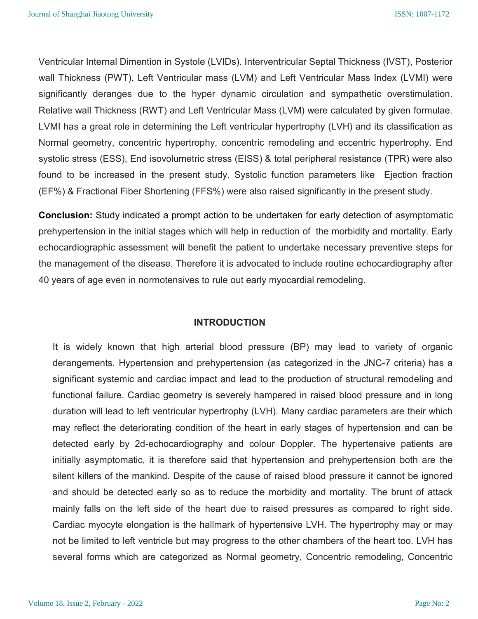Ventricular Internal Dimention in Systole (LVIDs). Interventricular Septal Thickness (IVST), Posterior wall Thickness (PWT), Left Ventricular mass (LVM) and Left Ventricular Mass Index (LVMI) were significantly deranges due to the hyper dynamic circulation and sympathetic overstimulation. Relative wall Thickness (RWT) and Left Ventricular Mass (LVM) were calculated by given formulae. LVMI has a great role in determining the Left ventricular hypertrophy (LVH) and its classification as Normal geometry, concentric hypertrophy, concentric remodeling and eccentric hypertrophy. End systolic stress (ESS), End isovolumetric stress (EISS) & total peripheral resistance (TPR) were also found to be increased in the present study. Systolic function parameters like Ejection fraction (EF%) & Fractional Fiber Shortening (FFS%) were also raised significantly in the present study.

Conclusion: Study indicated a prompt action to be undertaken for early detection of asymptomatic prehypertension in the initial stages which will help in reduction of the morbidity and mortality. Early echocardiographic assessment will benefit the patient to undertake necessary preventive steps for the management of the disease. Therefore it is advocated to include routine echocardiography after 40 years of age even in normotensives to rule out early myocardial remodeling.

### INTRODUCTION

It is widely known that high arterial blood pressure (BP) may lead to variety of organic derangements. Hypertension and prehypertension (as categorized in the JNC-7 criteria) has a significant systemic and cardiac impact and lead to the production of structural remodeling and functional failure. Cardiac geometry is severely hampered in raised blood pressure and in long duration will lead to left ventricular hypertrophy (LVH). Many cardiac parameters are their which may reflect the deteriorating condition of the heart in early stages of hypertension and can be detected early by 2d-echocardiography and colour Doppler. The hypertensive patients are initially asymptomatic, it is therefore said that hypertension and prehypertension both are the silent killers of the mankind. Despite of the cause of raised blood pressure it cannot be ignored and should be detected early so as to reduce the morbidity and mortality. The brunt of attack mainly falls on the left side of the heart due to raised pressures as compared to right side. Cardiac myocyte elongation is the hallmark of hypertensive LVH. The hypertrophy may or may not be limited to left ventricle but may progress to the other chambers of the heart too. LVH has several forms which are categorized as Normal geometry, Concentric remodeling, Concentric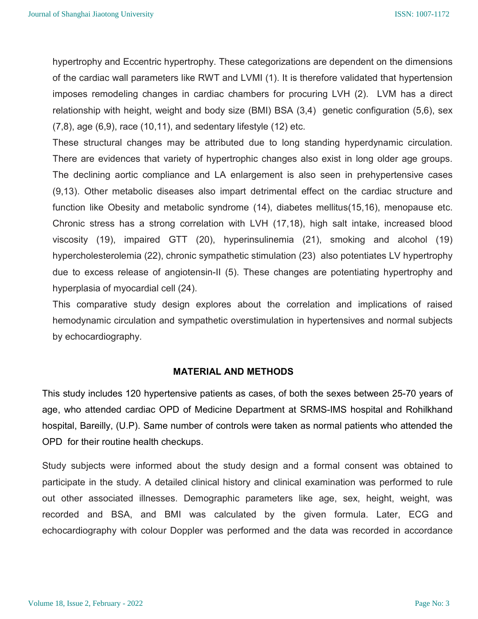hypertrophy and Eccentric hypertrophy. These categorizations are dependent on the dimensions of the cardiac wall parameters like RWT and LVMI (1). It is therefore validated that hypertension imposes remodeling changes in cardiac chambers for procuring LVH (2). LVM has a direct relationship with height, weight and body size (BMI) BSA (3,4) genetic configuration (5,6), sex  $(7.8)$ , age  $(6.9)$ , race  $(10.11)$ , and sedentary lifestyle  $(12)$  etc.

These structural changes may be attributed due to long standing hyperdynamic circulation. There are evidences that variety of hypertrophic changes also exist in long older age groups. The declining aortic compliance and LA enlargement is also seen in prehypertensive cases (9,13). Other metabolic diseases also impart detrimental effect on the cardiac structure and function like Obesity and metabolic syndrome (14), diabetes mellitus(15,16), menopause etc. Chronic stress has a strong correlation with LVH (17,18), high salt intake, increased blood viscosity (19), impaired GTT (20), hyperinsulinemia (21), smoking and alcohol (19) hypercholesterolemia (22), chronic sympathetic stimulation (23) also potentiates LV hypertrophy due to excess release of angiotensin-II (5). These changes are potentiating hypertrophy and hyperplasia of myocardial cell (24).

This comparative study design explores about the correlation and implications of raised hemodynamic circulation and sympathetic overstimulation in hypertensives and normal subjects by echocardiography.

#### MATERIAL AND METHODS

This study includes 120 hypertensive patients as cases, of both the sexes between 25-70 years of age, who attended cardiac OPD of Medicine Department at SRMS-IMS hospital and Rohilkhand hospital, Bareilly, (U.P). Same number of controls were taken as normal patients who attended the OPD for their routine health checkups.

Study subjects were informed about the study design and a formal consent was obtained to participate in the study. A detailed clinical history and clinical examination was performed to rule out other associated illnesses. Demographic parameters like age, sex, height, weight, was recorded and BSA, and BMI was calculated by the given formula. Later, ECG and echocardiography with colour Doppler was performed and the data was recorded in accordance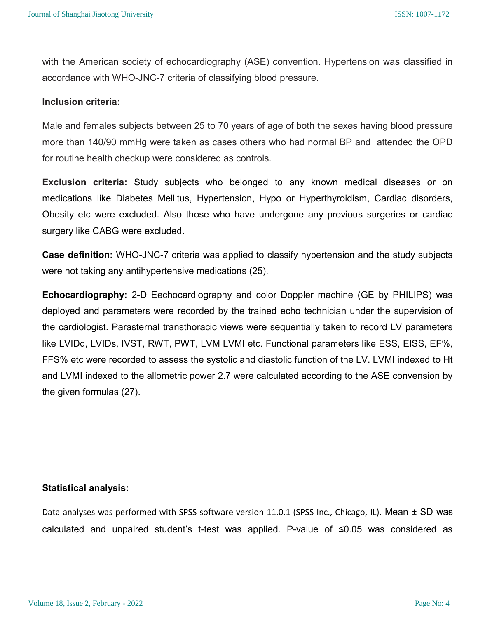with the American society of echocardiography (ASE) convention. Hypertension was classified in accordance with WHO-JNC-7 criteria of classifying blood pressure.

#### Inclusion criteria:

Male and females subjects between 25 to 70 years of age of both the sexes having blood pressure more than 140/90 mmHg were taken as cases others who had normal BP and attended the OPD for routine health checkup were considered as controls.

Exclusion criteria: Study subjects who belonged to any known medical diseases or on medications like Diabetes Mellitus, Hypertension, Hypo or Hyperthyroidism, Cardiac disorders, Obesity etc were excluded. Also those who have undergone any previous surgeries or cardiac surgery like CABG were excluded.

Case definition: WHO-JNC-7 criteria was applied to classify hypertension and the study subjects were not taking any antihypertensive medications (25).

Echocardiography: 2-D Eechocardiography and color Doppler machine (GE by PHILIPS) was deployed and parameters were recorded by the trained echo technician under the supervision of the cardiologist. Parasternal transthoracic views were sequentially taken to record LV parameters like LVIDd, LVIDs, IVST, RWT, PWT, LVM LVMI etc. Functional parameters like ESS, EISS, EF%, FFS% etc were recorded to assess the systolic and diastolic function of the LV. LVMI indexed to Ht and LVMI indexed to the allometric power 2.7 were calculated according to the ASE convension by the given formulas (27).

#### Statistical analysis:

Data analyses was performed with SPSS software version 11.0.1 (SPSS Inc., Chicago, IL). Mean ± SD was calculated and unpaired student's t-test was applied. P-value of ≤0.05 was considered as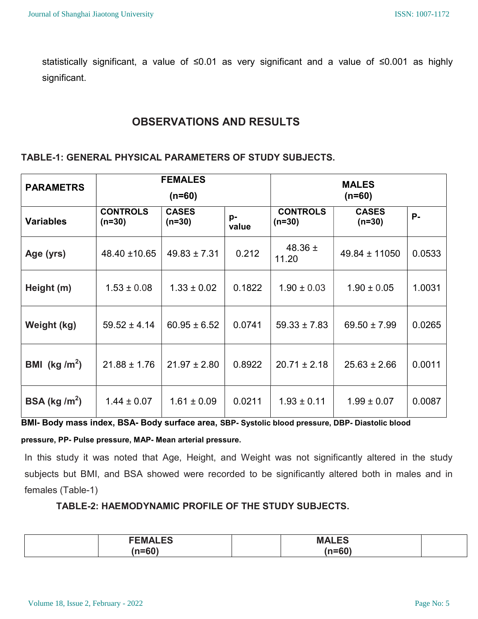statistically significant, a value of ≤0.01 as very significant and a value of ≤0.001 as highly significant.

## OBSERVATIONS AND RESULTS

## TABLE-1: GENERAL PHYSICAL PARAMETERS OF STUDY SUBJECTS.

| <b>PARAMETRS</b>          |                             | <b>FEMALES</b><br>$(n=60)$ |             |                             | <b>MALES</b><br>$(n=60)$ |           |
|---------------------------|-----------------------------|----------------------------|-------------|-----------------------------|--------------------------|-----------|
| <b>Variables</b>          | <b>CONTROLS</b><br>$(n=30)$ | <b>CASES</b><br>$(n=30)$   | p-<br>value | <b>CONTROLS</b><br>$(n=30)$ | <b>CASES</b><br>$(n=30)$ | <b>P-</b> |
| Age (yrs)                 | 48.40 ±10.65                | $49.83 \pm 7.31$           | 0.212       | 48.36 $\pm$<br>11.20        | $49.84 \pm 11050$        | 0.0533    |
| Height (m)                | $1.53 \pm 0.08$             | $1.33 \pm 0.02$            | 0.1822      | $1.90 \pm 0.03$             | $1.90 \pm 0.05$          | 1.0031    |
| Weight (kg)               | $59.52 \pm 4.14$            | $60.95 \pm 6.52$           | 0.0741      | $59.33 \pm 7.83$            | $69.50 \pm 7.99$         | 0.0265    |
| BMI (kg /m <sup>2</sup> ) | $21.88 \pm 1.76$            | $21.97 \pm 2.80$           | 0.8922      | $20.71 \pm 2.18$            | $25.63 \pm 2.66$         | 0.0011    |
| BSA (kg / $m^2$ )         | $1.44 \pm 0.07$             | $1.61 \pm 0.09$            | 0.0211      | $1.93 \pm 0.11$             | $1.99 \pm 0.07$          | 0.0087    |

BMI- Body mass index, BSA- Body surface area, SBP- Systolic blood pressure, DBP- Diastolic blood

### pressure, PP- Pulse pressure, MAP- Mean arterial pressure.

In this study it was noted that Age, Height, and Weight was not significantly altered in the study subjects but BMI, and BSA showed were recorded to be significantly altered both in males and in females (Table-1)

## TABLE-2: HAEMODYNAMIC PROFILE OF THE STUDY SUBJECTS.

| <b>FEMALES</b> | <b>MAIFS</b><br>IVI <i>г</i><br>┒▃▃◡ |  |
|----------------|--------------------------------------|--|
| $n - C$<br>.   | $\mathbf{r} = \mathbf{r} \mathbf{r}$ |  |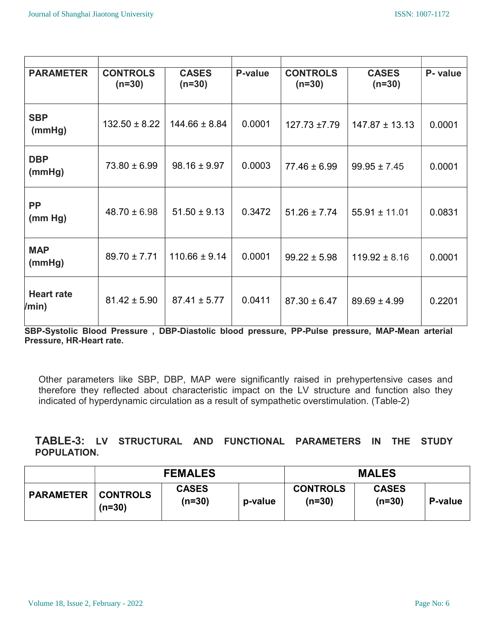| <b>PARAMETER</b>           | <b>CONTROLS</b><br>$(n=30)$ | <b>CASES</b><br>$(n=30)$ | P-value | <b>CONTROLS</b><br>$(n=30)$ | <b>CASES</b><br>$(n=30)$ | P- value |
|----------------------------|-----------------------------|--------------------------|---------|-----------------------------|--------------------------|----------|
| <b>SBP</b><br>(mmHg)       | $132.50 \pm 8.22$           | $144.66 \pm 8.84$        | 0.0001  | $127.73 \pm 7.79$           | $147.87 \pm 13.13$       | 0.0001   |
| <b>DBP</b><br>(mmHg)       | $73.80 \pm 6.99$            | $98.16 \pm 9.97$         | 0.0003  | $77.46 \pm 6.99$            | $99.95 \pm 7.45$         | 0.0001   |
| <b>PP</b><br>(mm Hg)       | $48.70 \pm 6.98$            | $51.50 \pm 9.13$         | 0.3472  | $51.26 \pm 7.74$            | $55.91 \pm 11.01$        | 0.0831   |
| <b>MAP</b><br>(mmHg)       | $89.70 \pm 7.71$            | $110.66 \pm 9.14$        | 0.0001  | $99.22 \pm 5.98$            | $119.92 \pm 8.16$        | 0.0001   |
| <b>Heart rate</b><br>/min) | $81.42 \pm 5.90$            | $87.41 \pm 5.77$         | 0.0411  | $87.30 \pm 6.47$            | $89.69 \pm 4.99$         | 0.2201   |

SBP-Systolic Blood Pressure , DBP-Diastolic blood pressure, PP-Pulse pressure, MAP-Mean arterial Pressure, HR-Heart rate.

Other parameters like SBP, DBP, MAP were significantly raised in prehypertensive cases and therefore they reflected about characteristic impact on the LV structure and function also they indicated of hyperdynamic circulation as a result of sympathetic overstimulation. (Table-2)

## TABLE-3: LV STRUCTURAL AND FUNCTIONAL PARAMETERS IN THE STUDY POPULATION.

|                  |                             | <b>FEMALES</b>           |         | <b>MALES</b>                |                          |         |
|------------------|-----------------------------|--------------------------|---------|-----------------------------|--------------------------|---------|
| <b>PARAMETER</b> | <b>CONTROLS</b><br>$(n=30)$ | <b>CASES</b><br>$(n=30)$ | p-value | <b>CONTROLS</b><br>$(n=30)$ | <b>CASES</b><br>$(n=30)$ | P-value |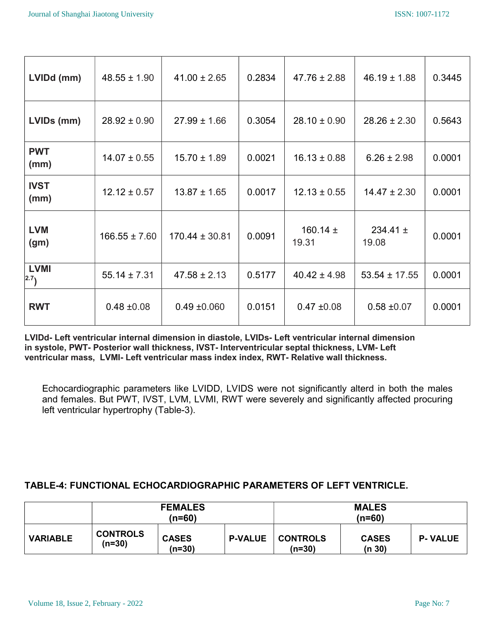| $46.19 \pm 1.88$      | 0.3445 |
|-----------------------|--------|
|                       |        |
| $28.26 \pm 2.30$      | 0.5643 |
| $6.26 \pm 2.98$       | 0.0001 |
| $14.47 \pm 2.30$      | 0.0001 |
| $234.41 \pm$<br>19.08 | 0.0001 |
| $53.54 \pm 17.55$     | 0.0001 |
| $0.58 \pm 0.07$       | 0.0001 |
|                       |        |

LVIDd- Left ventricular internal dimension in diastole, LVIDs- Left ventricular internal dimension in systole, PWT- Posterior wall thickness, IVST- Interventricular septal thickness, LVM- Left ventricular mass, LVMI- Left ventricular mass index index, RWT- Relative wall thickness.

Echocardiographic parameters like LVIDD, LVIDS were not significantly alterd in both the males and females. But PWT, IVST, LVM, LVMI, RWT were severely and significantly affected procuring left ventricular hypertrophy (Table-3).

## TABLE-4: FUNCTIONAL ECHOCARDIOGRAPHIC PARAMETERS OF LEFT VENTRICLE.

|                 | <b>FEMALES</b><br>(n=60)    |                        |                | <b>MALES</b><br>(n=60)      |                        |                |
|-----------------|-----------------------------|------------------------|----------------|-----------------------------|------------------------|----------------|
| <b>VARIABLE</b> | <b>CONTROLS</b><br>$(n=30)$ | <b>CASES</b><br>(n=30) | <b>P-VALUE</b> | <b>CONTROLS</b><br>$(n=30)$ | <b>CASES</b><br>(n 30) | <b>P-VALUE</b> |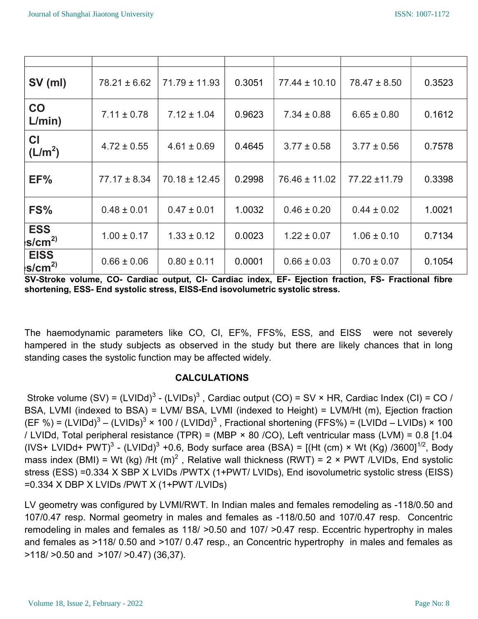| SV (ml)                          | $78.21 \pm 6.62$ | $71.79 \pm 11.93$ | 0.3051 | $77.44 \pm 10.10$ | $78.47 \pm 8.50$ | 0.3523 |
|----------------------------------|------------------|-------------------|--------|-------------------|------------------|--------|
| CO<br>L/min)                     | $7.11 \pm 0.78$  | $7.12 \pm 1.04$   | 0.9623 | $7.34 \pm 0.88$   | $6.65 \pm 0.80$  | 0.1612 |
| <b>CI</b><br>(L/m <sup>2</sup> ) | $4.72 \pm 0.55$  | $4.61 \pm 0.69$   | 0.4645 | $3.77 \pm 0.58$   | $3.77 \pm 0.56$  | 0.7578 |
| EF%                              | $77.17 \pm 8.34$ | $70.18 \pm 12.45$ | 0.2998 | $76.46 \pm 11.02$ | 77.22 ±11.79     | 0.3398 |
| FS%                              | $0.48 \pm 0.01$  | $0.47 \pm 0.01$   | 1.0032 | $0.46 \pm 0.20$   | $0.44 \pm 0.02$  | 1.0021 |
| <b>ESS</b><br>s/cm <sup>2</sup>  | $1.00 \pm 0.17$  | $1.33 \pm 0.12$   | 0.0023 | $1.22 \pm 0.07$   | $1.06 \pm 0.10$  | 0.7134 |
| <b>EISS</b><br>$s/cm^{2)}$       | $0.66 \pm 0.06$  | $0.80 \pm 0.11$   | 0.0001 | $0.66 \pm 0.03$   | $0.70 \pm 0.07$  | 0.1054 |

SV-Stroke volume, CO- Cardiac output, CI- Cardiac index, EF- Ejection fraction, FS- Fractional fibre shortening, ESS- End systolic stress, EISS-End isovolumetric systolic stress.

The haemodynamic parameters like CO, CI, EF%, FFS%, ESS, and EISS were not severely hampered in the study subjects as observed in the study but there are likely chances that in long standing cases the systolic function may be affected widely.

## CALCULATIONS

Stroke volume  $(SV) = (LVIDd)^3 - (LVIDs)^3$ , Cardiac output  $(CO) = SV \times HR$ , Cardiac Index  $(Cl) = CO /$ BSA, LVMI (indexed to BSA) = LVM/ BSA, LVMI (indexed to Height) = LVM/Ht (m), Ejection fraction (EF %) = (LVIDd)<sup>3</sup> – (LVIDs)<sup>3</sup> × 100 / (LVIDd)<sup>3</sup> , Fractional shortening (FFS%) = (LVIDd – LVIDs) × 100 / LVIDd, Total peripheral resistance (TPR) = (MBP × 80 /CO), Left ventricular mass (LVM) = 0.8 [1.04 (IVS+ LVIDd+ PWT)<sup>3</sup> - (LVIDd)<sup>3</sup> +0.6, Body surface area (BSA) = [(Ht (cm) × Wt (Kg) /3600]<sup>1/2</sup>, Body mass index (BMI) = Wt (kg) /Ht (m)<sup>2</sup>, Relative wall thickness (RWT) = 2 × PWT /LVIDs, End systolic stress (ESS) =0.334 X SBP X LVIDs /PWTX (1+PWT/ LVIDs), End isovolumetric systolic stress (EISS) =0.334 X DBP X LVIDs /PWT X (1+PWT /LVIDs)

LV geometry was configured by LVMI/RWT. In Indian males and females remodeling as -118/0.50 and 107/0.47 resp. Normal geometry in males and females as -118/0.50 and 107/0.47 resp. Concentric remodeling in males and females as 118/ >0.50 and 107/ >0.47 resp. Eccentric hypertrophy in males and females as >118/ 0.50 and >107/ 0.47 resp., an Concentric hypertrophy in males and females as >118/ >0.50 and >107/ >0.47) (36,37).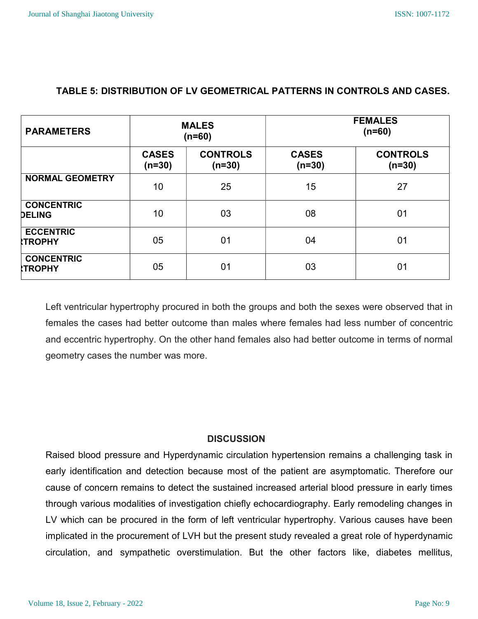| <b>PARAMETERS</b>                   |                          | <b>MALES</b><br>$(n=60)$    |                          | <b>FEMALES</b><br>$(n=60)$  |
|-------------------------------------|--------------------------|-----------------------------|--------------------------|-----------------------------|
|                                     | <b>CASES</b><br>$(n=30)$ | <b>CONTROLS</b><br>$(n=30)$ | <b>CASES</b><br>$(n=30)$ | <b>CONTROLS</b><br>$(n=30)$ |
| <b>NORMAL GEOMETRY</b>              | 10                       | 25                          | 15                       | 27                          |
| <b>CONCENTRIC</b><br><b>DELING</b>  | 10                       | 03                          | 08                       | 01                          |
| <b>ECCENTRIC</b><br><b>ITROPHY</b>  | 05                       | 01                          | 04                       | 01                          |
| <b>CONCENTRIC</b><br><b>ITROPHY</b> | 05                       | 01                          | 03                       | 0 <sub>1</sub>              |

## TABLE 5: DISTRIBUTION OF LV GEOMETRICAL PATTERNS IN CONTROLS AND CASES.

Left ventricular hypertrophy procured in both the groups and both the sexes were observed that in females the cases had better outcome than males where females had less number of concentric and eccentric hypertrophy. On the other hand females also had better outcome in terms of normal geometry cases the number was more.

## **DISCUSSION**

Raised blood pressure and Hyperdynamic circulation hypertension remains a challenging task in early identification and detection because most of the patient are asymptomatic. Therefore our cause of concern remains to detect the sustained increased arterial blood pressure in early times through various modalities of investigation chiefly echocardiography. Early remodeling changes in LV which can be procured in the form of left ventricular hypertrophy. Various causes have been implicated in the procurement of LVH but the present study revealed a great role of hyperdynamic circulation, and sympathetic overstimulation. But the other factors like, diabetes mellitus,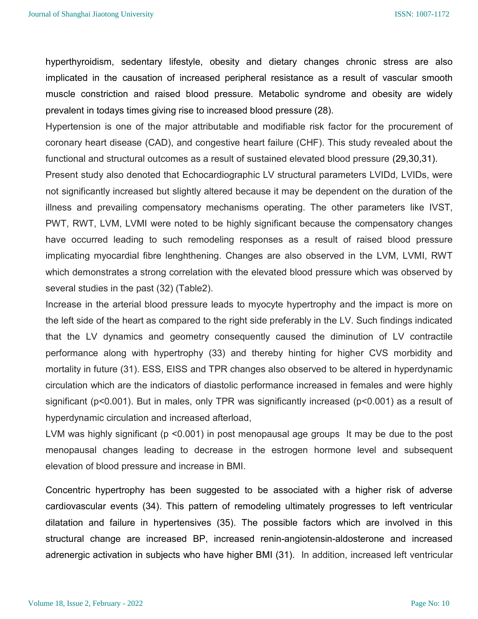#### ISSN: 1007-1172

hyperthyroidism, sedentary lifestyle, obesity and dietary changes chronic stress are also implicated in the causation of increased peripheral resistance as a result of vascular smooth muscle constriction and raised blood pressure. Metabolic syndrome and obesity are widely prevalent in todays times giving rise to increased blood pressure (28).

Hypertension is one of the major attributable and modifiable risk factor for the procurement of coronary heart disease (CAD), and congestive heart failure (CHF). This study revealed about the functional and structural outcomes as a result of sustained elevated blood pressure (29,30,31).

Present study also denoted that Echocardiographic LV structural parameters LVIDd, LVIDs, were not significantly increased but slightly altered because it may be dependent on the duration of the illness and prevailing compensatory mechanisms operating. The other parameters like IVST, PWT, RWT, LVM, LVMI were noted to be highly significant because the compensatory changes have occurred leading to such remodeling responses as a result of raised blood pressure implicating myocardial fibre lenghthening. Changes are also observed in the LVM, LVMI, RWT which demonstrates a strong correlation with the elevated blood pressure which was observed by several studies in the past (32) (Table2).

Increase in the arterial blood pressure leads to myocyte hypertrophy and the impact is more on the left side of the heart as compared to the right side preferably in the LV. Such findings indicated that the LV dynamics and geometry consequently caused the diminution of LV contractile performance along with hypertrophy (33) and thereby hinting for higher CVS morbidity and mortality in future (31). ESS, EISS and TPR changes also observed to be altered in hyperdynamic circulation which are the indicators of diastolic performance increased in females and were highly significant (p<0.001). But in males, only TPR was significantly increased (p<0.001) as a result of hyperdynamic circulation and increased afterload,

LVM was highly significant (p <0.001) in post menopausal age groups It may be due to the post menopausal changes leading to decrease in the estrogen hormone level and subsequent elevation of blood pressure and increase in BMI.

Concentric hypertrophy has been suggested to be associated with a higher risk of adverse cardiovascular events (34). This pattern of remodeling ultimately progresses to left ventricular dilatation and failure in hypertensives (35). The possible factors which are involved in this structural change are increased BP, increased renin-angiotensin-aldosterone and increased adrenergic activation in subjects who have higher BMI (31). In addition, increased left ventricular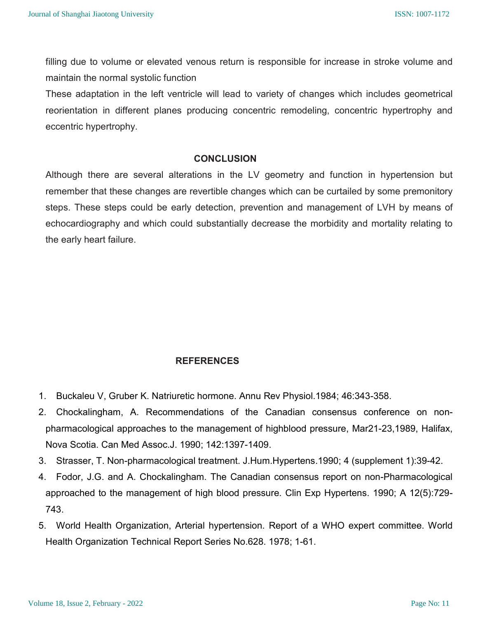filling due to volume or elevated venous return is responsible for increase in stroke volume and maintain the normal systolic function

These adaptation in the left ventricle will lead to variety of changes which includes geometrical reorientation in different planes producing concentric remodeling, concentric hypertrophy and eccentric hypertrophy.

#### **CONCLUSION**

Although there are several alterations in the LV geometry and function in hypertension but remember that these changes are revertible changes which can be curtailed by some premonitory steps. These steps could be early detection, prevention and management of LVH by means of echocardiography and which could substantially decrease the morbidity and mortality relating to the early heart failure.

## **REFERENCES**

- 1. Buckaleu V, Gruber K. Natriuretic hormone. Annu Rev Physiol.1984; 46:343-358.
- 2. Chockalingham, A. Recommendations of the Canadian consensus conference on nonpharmacological approaches to the management of highblood pressure, Mar21-23,1989, Halifax, Nova Scotia. Can Med Assoc.J. 1990; 142:1397-1409.
- 3. Strasser, T. Non-pharmacological treatment. J.Hum.Hypertens.1990; 4 (supplement 1):39-42.
- 4. Fodor, J.G. and A. Chockalingham. The Canadian consensus report on non-Pharmacological approached to the management of high blood pressure. Clin Exp Hypertens. 1990; A 12(5):729- 743.
- 5. World Health Organization, Arterial hypertension. Report of a WHO expert committee. World Health Organization Technical Report Series No.628. 1978; 1-61.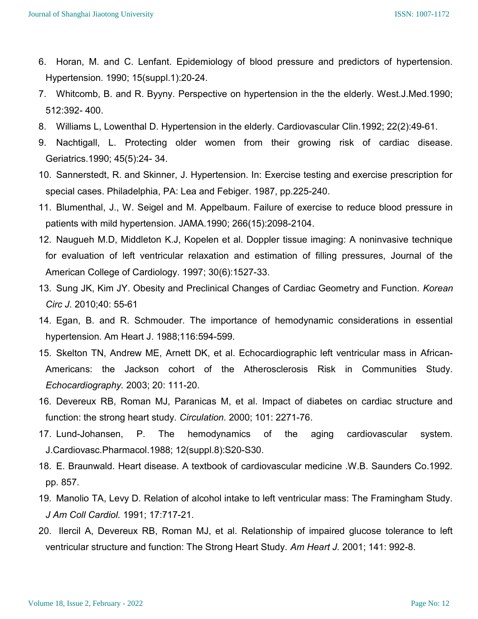- 6. Horan, M. and C. Lenfant. Epidemiology of blood pressure and predictors of hypertension. Hypertension. 1990; 15(suppl.1):20-24.
- 7. Whitcomb, B. and R. Byyny. Perspective on hypertension in the the elderly. West.J.Med.1990; 512:392- 400.
- 8. Williams L, Lowenthal D. Hypertension in the elderly. Cardiovascular Clin.1992; 22(2):49-61.
- 9. Nachtigall, L. Protecting older women from their growing risk of cardiac disease. Geriatrics.1990; 45(5):24- 34.
- 10. Sannerstedt, R. and Skinner, J. Hypertension. In: Exercise testing and exercise prescription for special cases. Philadelphia, PA: Lea and Febiger. 1987, pp.225-240.
- 11. Blumenthal, J., W. Seigel and M. Appelbaum. Failure of exercise to reduce blood pressure in patients with mild hypertension. JAMA.1990; 266(15):2098-2104.
- 12. Naugueh M.D, Middleton K.J, Kopelen et al. Doppler tissue imaging: A noninvasive technique for evaluation of left ventricular relaxation and estimation of filling pressures, Journal of the American College of Cardiology. 1997; 30(6):1527-33.
- 13. Sung JK, Kim JY. Obesity and Preclinical Changes of Cardiac Geometry and Function. Korean Circ J. 2010;40: 55-61
- 14. Egan, B. and R. Schmouder. The importance of hemodynamic considerations in essential hypertension. Am Heart J. 1988;116:594-599.
- 15. Skelton TN, Andrew ME, Arnett DK, et al. Echocardiographic left ventricular mass in African-Americans: the Jackson cohort of the Atherosclerosis Risk in Communities Study. Echocardiography. 2003; 20: 111-20.
- 16. Devereux RB, Roman MJ, Paranicas M, et al. Impact of diabetes on cardiac structure and function: the strong heart study. Circulation. 2000; 101: 2271-76.
- 17. Lund-Johansen, P. The hemodynamics of the aging cardiovascular system. J.Cardiovasc.Pharmacol.1988; 12(suppl.8):S20-S30.
- 18. E. Braunwald. Heart disease. A textbook of cardiovascular medicine .W.B. Saunders Co.1992. pp. 857.
- 19. Manolio TA, Levy D. Relation of alcohol intake to left ventricular mass: The Framingham Study. J Am Coll Cardiol. 1991; 17:717-21.
- 20. Ilercil A, Devereux RB, Roman MJ, et al. Relationship of impaired glucose tolerance to left ventricular structure and function: The Strong Heart Study. Am Heart J. 2001; 141: 992-8.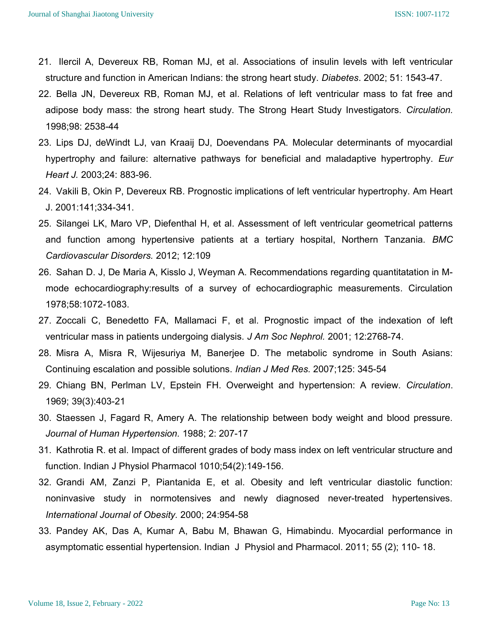- 21. Ilercil A, Devereux RB, Roman MJ, et al. Associations of insulin levels with left ventricular structure and function in American Indians: the strong heart study. Diabetes. 2002; 51: 1543-47.
- 22. Bella JN, Devereux RB, Roman MJ, et al. Relations of left ventricular mass to fat free and adipose body mass: the strong heart study. The Strong Heart Study Investigators. Circulation. 1998;98: 2538-44
- 23. Lips DJ, deWindt LJ, van Kraaij DJ, Doevendans PA. Molecular determinants of myocardial hypertrophy and failure: alternative pathways for beneficial and maladaptive hypertrophy. Eur Heart J. 2003;24: 883-96.
- 24. Vakili B, Okin P, Devereux RB. Prognostic implications of left ventricular hypertrophy. Am Heart J. 2001:141;334-341.
- 25. Silangei LK, Maro VP, Diefenthal H, et al. Assessment of left ventricular geometrical patterns and function among hypertensive patients at a tertiary hospital, Northern Tanzania. BMC Cardiovascular Disorders. 2012; 12:109
- 26. Sahan D. J, De Maria A, Kisslo J, Weyman A. Recommendations regarding quantitatation in Mmode echocardiography:results of a survey of echocardiographic measurements. Circulation 1978;58:1072-1083.
- 27. Zoccali C, Benedetto FA, Mallamaci F, et al. Prognostic impact of the indexation of left ventricular mass in patients undergoing dialysis. J Am Soc Nephrol. 2001; 12:2768-74.
- 28. Misra A, Misra R, Wijesuriya M, Banerjee D. The metabolic syndrome in South Asians: Continuing escalation and possible solutions. Indian J Med Res. 2007;125: 345-54
- 29. Chiang BN, Perlman LV, Epstein FH. Overweight and hypertension: A review. Circulation. 1969; 39(3):403-21
- 30. Staessen J, Fagard R, Amery A. The relationship between body weight and blood pressure. Journal of Human Hypertension. 1988; 2: 207-17
- 31. Kathrotia R. et al. Impact of different grades of body mass index on left ventricular structure and function. Indian J Physiol Pharmacol 1010;54(2):149-156.
- 32. Grandi AM, Zanzi P, Piantanida E, et al. Obesity and left ventricular diastolic function: noninvasive study in normotensives and newly diagnosed never-treated hypertensives. International Journal of Obesity. 2000; 24:954-58
- 33. Pandey AK, Das A, Kumar A, Babu M, Bhawan G, Himabindu. Myocardial performance in asymptomatic essential hypertension. Indian J Physiol and Pharmacol. 2011; 55 (2); 110- 18.